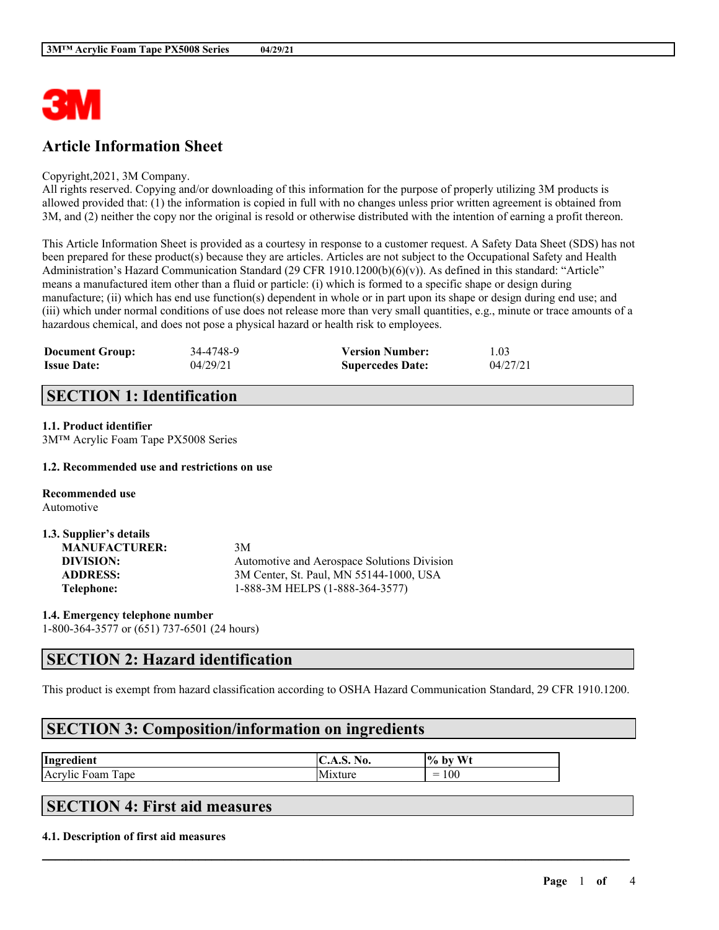

# **Article Information Sheet**

#### Copyright,2021, 3M Company.

All rights reserved. Copying and/or downloading of this information for the purpose of properly utilizing 3M products is allowed provided that: (1) the information is copied in full with no changes unless prior written agreement is obtained from 3M, and (2) neither the copy nor the original is resold or otherwise distributed with the intention of earning a profit thereon.

This Article Information Sheet is provided as a courtesy in response to a customer request. A Safety Data Sheet (SDS) has not been prepared for these product(s) because they are articles. Articles are not subject to the Occupational Safety and Health Administration's Hazard Communication Standard (29 CFR 1910.1200(b)(6)(v)). As defined in this standard: "Article" means a manufactured item other than a fluid or particle: (i) which is formed to a specific shape or design during manufacture; (ii) which has end use function(s) dependent in whole or in part upon its shape or design during end use; and (iii) which under normal conditions of use does not release more than very small quantities, e.g., minute or trace amounts of a hazardous chemical, and does not pose a physical hazard or health risk to employees.

| <b>Document Group:</b> | 34-4748-9 | <b>Version Number:</b>  | 1.03     |
|------------------------|-----------|-------------------------|----------|
| <b>Issue Date:</b>     | 04/29/21  | <b>Supercedes Date:</b> | 04/27/21 |

## **SECTION 1: Identification**

### **1.1. Product identifier**

3M™ Acrylic Foam Tape PX5008 Series

#### **1.2. Recommended use and restrictions on use**

**Recommended use** Automotive

| 1.3. Supplier's details |                                             |
|-------------------------|---------------------------------------------|
| <b>MANUFACTURER:</b>    | 3M                                          |
| DIVISION:               | Automotive and Aerospace Solutions Division |
| <b>ADDRESS:</b>         | 3M Center, St. Paul, MN 55144-1000, USA     |
| Telephone:              | 1-888-3M HELPS (1-888-364-3577)             |

**1.4. Emergency telephone number** 1-800-364-3577 or (651) 737-6501 (24 hours)

### **SECTION 2: Hazard identification**

This product is exempt from hazard classification according to OSHA Hazard Communication Standard, 29 CFR 1910.1200.

 $\mathcal{L}_\mathcal{L} = \mathcal{L}_\mathcal{L} = \mathcal{L}_\mathcal{L} = \mathcal{L}_\mathcal{L} = \mathcal{L}_\mathcal{L} = \mathcal{L}_\mathcal{L} = \mathcal{L}_\mathcal{L} = \mathcal{L}_\mathcal{L} = \mathcal{L}_\mathcal{L} = \mathcal{L}_\mathcal{L} = \mathcal{L}_\mathcal{L} = \mathcal{L}_\mathcal{L} = \mathcal{L}_\mathcal{L} = \mathcal{L}_\mathcal{L} = \mathcal{L}_\mathcal{L} = \mathcal{L}_\mathcal{L} = \mathcal{L}_\mathcal{L}$ 

# **SECTION 3: Composition/information on ingredients**

| Ingredient                                                                     | NO.<br>◡ | $W_{t}$<br>$\frac{10}{6}$<br>, pv |
|--------------------------------------------------------------------------------|----------|-----------------------------------|
| . .<br>$\overline{\phantom{a}}$<br>$\overline{ }$<br>Acrylic F<br>Tape<br>Foam |          | 100<br>$\overline{\phantom{a}}$   |

# **SECTION 4: First aid measures**

#### **4.1. Description of first aid measures**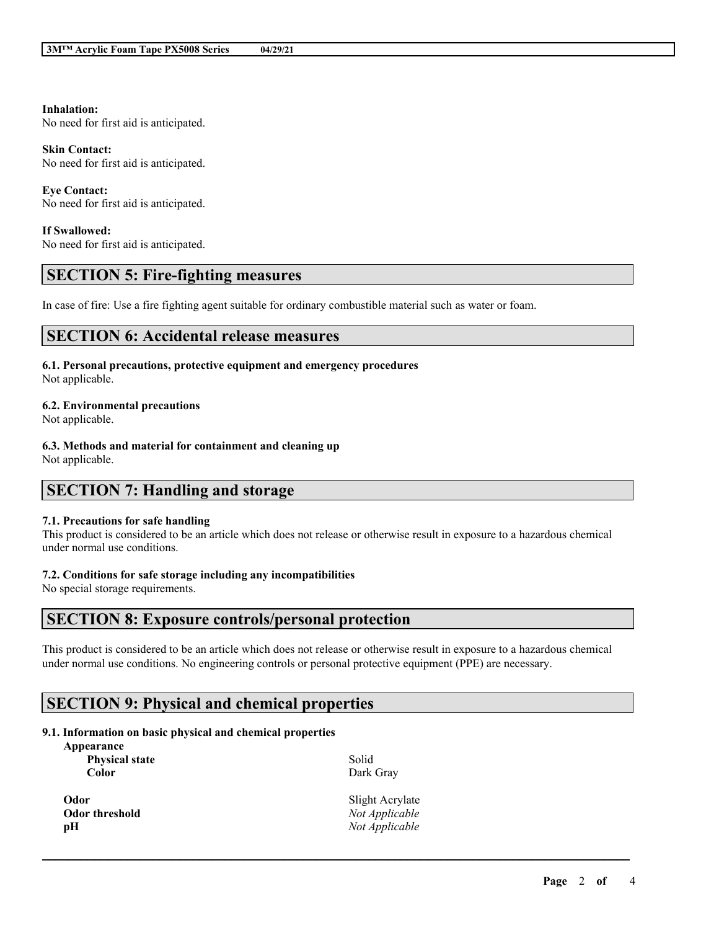#### **Inhalation:**

No need for first aid is anticipated.

#### **Skin Contact:**

No need for first aid is anticipated.

**Eye Contact:** No need for first aid is anticipated.

#### **If Swallowed:**

No need for first aid is anticipated.

### **SECTION 5: Fire-fighting measures**

In case of fire: Use a fire fighting agent suitable for ordinary combustible material such as water or foam.

### **SECTION 6: Accidental release measures**

**6.1. Personal precautions, protective equipment and emergency procedures** Not applicable.

**6.2. Environmental precautions**

Not applicable.

**6.3. Methods and material for containment and cleaning up** Not applicable.

### **SECTION 7: Handling and storage**

#### **7.1. Precautions for safe handling**

This product is considered to be an article which does not release or otherwise result in exposure to a hazardous chemical under normal use conditions.

#### **7.2. Conditions for safe storage including any incompatibilities**

No special storage requirements.

## **SECTION 8: Exposure controls/personal protection**

This product is considered to be an article which does not release or otherwise result in exposure to a hazardous chemical under normal use conditions. No engineering controls or personal protective equipment (PPE) are necessary.

 $\mathcal{L}_\mathcal{L} = \mathcal{L}_\mathcal{L} = \mathcal{L}_\mathcal{L} = \mathcal{L}_\mathcal{L} = \mathcal{L}_\mathcal{L} = \mathcal{L}_\mathcal{L} = \mathcal{L}_\mathcal{L} = \mathcal{L}_\mathcal{L} = \mathcal{L}_\mathcal{L} = \mathcal{L}_\mathcal{L} = \mathcal{L}_\mathcal{L} = \mathcal{L}_\mathcal{L} = \mathcal{L}_\mathcal{L} = \mathcal{L}_\mathcal{L} = \mathcal{L}_\mathcal{L} = \mathcal{L}_\mathcal{L} = \mathcal{L}_\mathcal{L}$ 

### **SECTION 9: Physical and chemical properties**

#### **9.1. Information on basic physical and chemical properties**

| Appearance |  |  |
|------------|--|--|
|            |  |  |

**Physical state Color**

**Odor** Slight Acrylate **Odor threshold** *Not Applicable* **pH** *Not Applicable*

Solid Dark Gray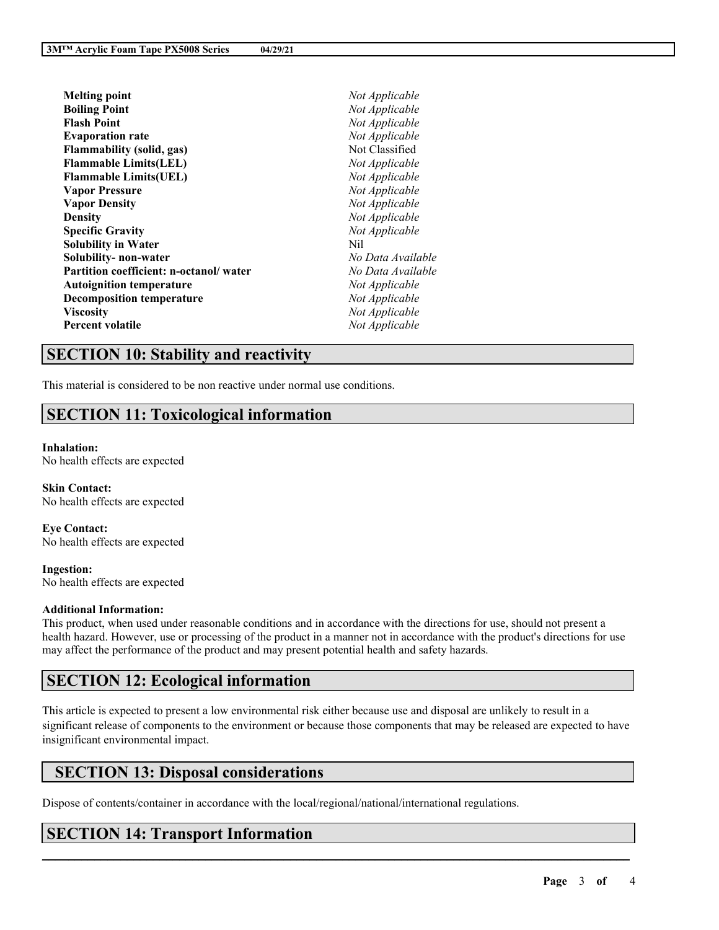| Not Applicable    |
|-------------------|
| Not Applicable    |
| Not Applicable    |
| Not Applicable    |
| Not Classified    |
| Not Applicable    |
| Not Applicable    |
| Not Applicable    |
| Not Applicable    |
| Not Applicable    |
| Not Applicable    |
| Nil               |
| No Data Available |
| No Data Available |
| Not Applicable    |
| Not Applicable    |
| Not Applicable    |
| Not Applicable    |
|                   |

### **SECTION 10: Stability and reactivity**

This material is considered to be non reactive under normal use conditions.

# **SECTION 11: Toxicological information**

#### **Inhalation:**

No health effects are expected

**Skin Contact:** No health effects are expected

**Eye Contact:** No health effects are expected

**Ingestion:** No health effects are expected

#### **Additional Information:**

This product, when used under reasonable conditions and in accordance with the directions for use, should not present a health hazard. However, use or processing of the product in a manner not in accordance with the product's directions for use may affect the performance of the product and may present potential health and safety hazards.

# **SECTION 12: Ecological information**

This article is expected to present a low environmental risk either because use and disposal are unlikely to result in a significant release of components to the environment or because those components that may be released are expected to have insignificant environmental impact.

 $\mathcal{L}_\mathcal{L} = \mathcal{L}_\mathcal{L} = \mathcal{L}_\mathcal{L} = \mathcal{L}_\mathcal{L} = \mathcal{L}_\mathcal{L} = \mathcal{L}_\mathcal{L} = \mathcal{L}_\mathcal{L} = \mathcal{L}_\mathcal{L} = \mathcal{L}_\mathcal{L} = \mathcal{L}_\mathcal{L} = \mathcal{L}_\mathcal{L} = \mathcal{L}_\mathcal{L} = \mathcal{L}_\mathcal{L} = \mathcal{L}_\mathcal{L} = \mathcal{L}_\mathcal{L} = \mathcal{L}_\mathcal{L} = \mathcal{L}_\mathcal{L}$ 

# **SECTION 13: Disposal considerations**

Dispose of contents/container in accordance with the local/regional/national/international regulations.

# **SECTION 14: Transport Information**